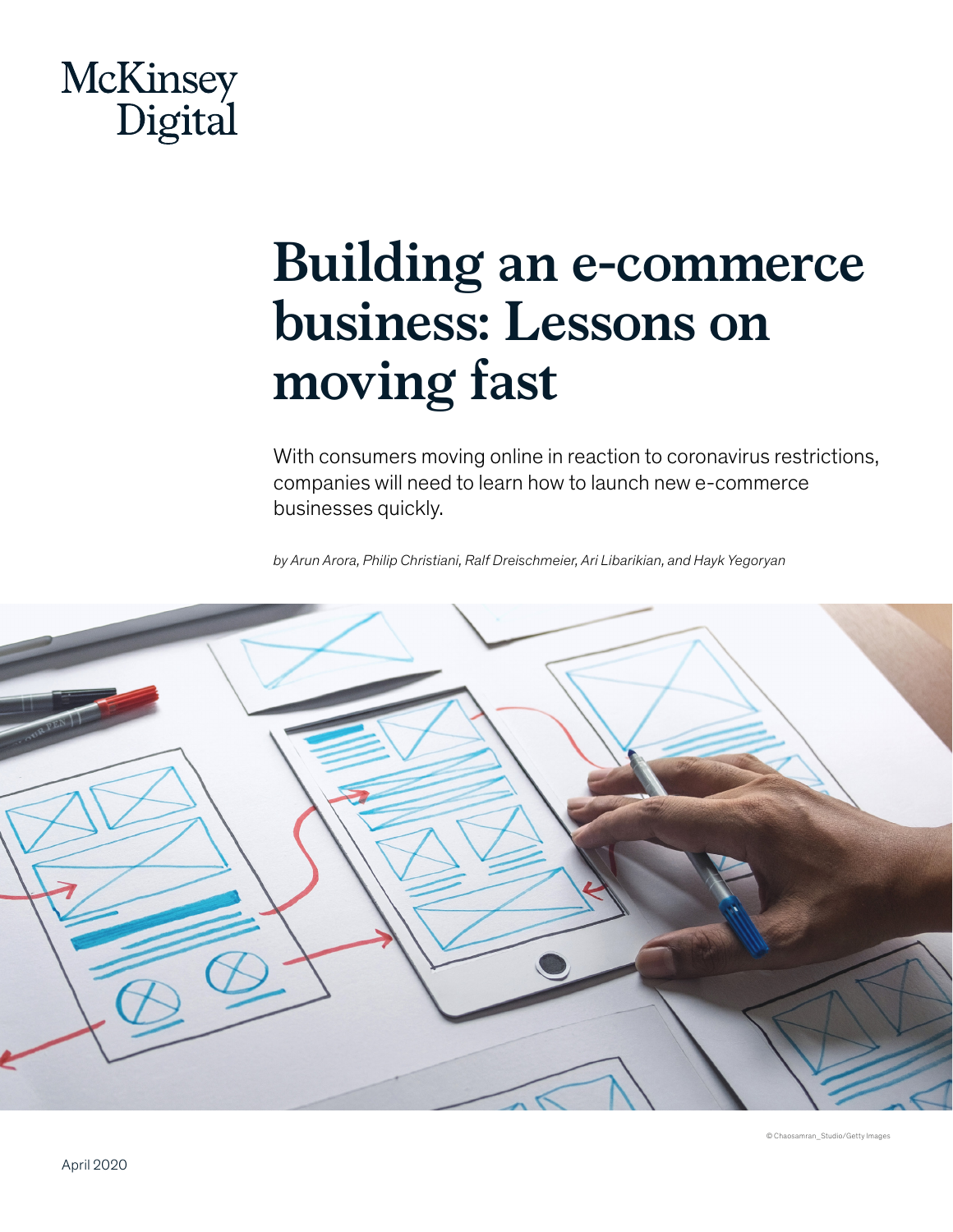# McKinsey<br>Digital

## **Building an e-commerce business: Lessons on moving fast**

With consumers moving online in reaction to coronavirus restrictions, companies will need to learn how to launch new e-commerce businesses quickly.

*by Arun Arora, Philip Christiani, Ralf Dreischmeier, Ari Libarikian, and Hayk Yegoryan*



© Chaosamran\_Studio/Getty Image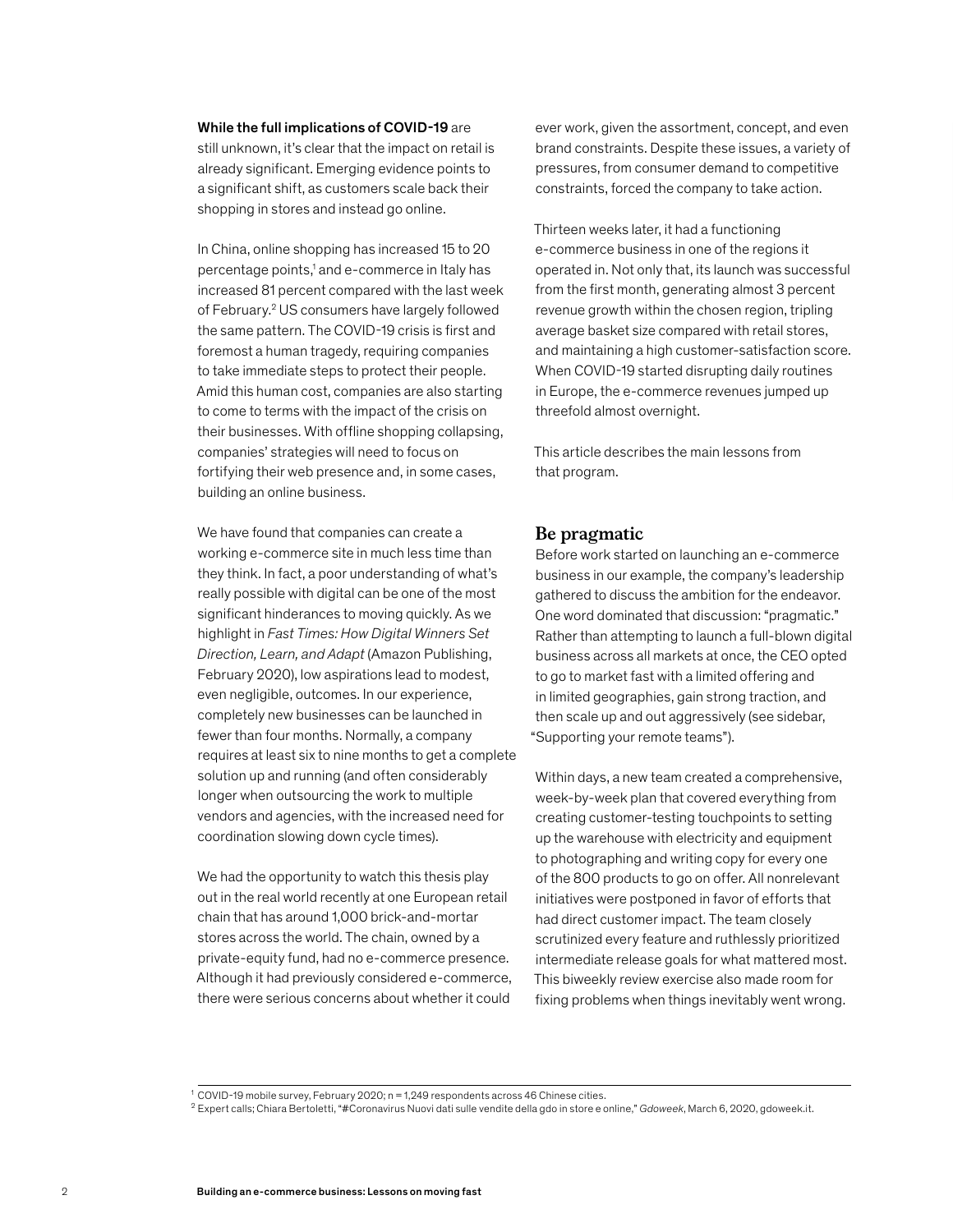#### While the full implications of COVID-19 are

still unknown, it's clear that the impact on retail is already significant. Emerging evidence points to a significant shift, as customers scale back their shopping in stores and instead go online.

In China, online shopping has increased 15 to 20 percentage points,<sup>1</sup> and e-commerce in Italy has increased 81 percent compared with the last week of February.2 US consumers have largely followed the same pattern. The COVID-19 crisis is first and foremost a human tragedy, requiring companies to take immediate steps to protect their people. Amid this human cost, companies are also starting to come to terms with the impact of the crisis on their businesses. With offline shopping collapsing, companies' strategies will need to focus on fortifying their web presence and, in some cases, building an online business.

We have found that companies can create a working e-commerce site in much less time than they think. In fact, a poor understanding of what's really possible with digital can be one of the most significant hinderances to moving quickly. As we highlight in *Fast Times: How Digital Winners Set Direction, Learn, and Adapt* (Amazon Publishing, February 2020), low aspirations lead to modest, even negligible, outcomes. In our experience, completely new businesses can be launched in fewer than four months. Normally, a company requires at least six to nine months to get a complete solution up and running (and often considerably longer when outsourcing the work to multiple vendors and agencies, with the increased need for coordination slowing down cycle times).

We had the opportunity to watch this thesis play out in the real world recently at one European retail chain that has around 1,000 brick-and-mortar stores across the world. The chain, owned by a private-equity fund, had no e-commerce presence. Although it had previously considered e-commerce, there were serious concerns about whether it could

ever work, given the assortment, concept, and even brand constraints. Despite these issues, a variety of pressures, from consumer demand to competitive constraints, forced the company to take action.

Thirteen weeks later, it had a functioning e-commerce business in one of the regions it operated in. Not only that, its launch was successful from the first month, generating almost 3 percent revenue growth within the chosen region, tripling average basket size compared with retail stores, and maintaining a high customer-satisfaction score. When COVID-19 started disrupting daily routines in Europe, the e-commerce revenues jumped up threefold almost overnight.

This article describes the main lessons from that program.

#### **Be pragmatic**

Before work started on launching an e-commerce business in our example, the company's leadership gathered to discuss the ambition for the endeavor. One word dominated that discussion: "pragmatic." Rather than attempting to launch a full-blown digital business across all markets at once, the CEO opted to go to market fast with a limited offering and in limited geographies, gain strong traction, and then scale up and out aggressively (see sidebar, "Supporting your remote teams").

Within days, a new team created a comprehensive, week-by-week plan that covered everything from creating customer-testing touchpoints to setting up the warehouse with electricity and equipment to photographing and writing copy for every one of the 800 products to go on offer. All nonrelevant initiatives were postponed in favor of efforts that had direct customer impact. The team closely scrutinized every feature and ruthlessly prioritized intermediate release goals for what mattered most. This biweekly review exercise also made room for fixing problems when things inevitably went wrong.

<sup>1</sup> COVID-19 mobile survey, February 2020; n = 1,249 respondents across 46 Chinese cities.

<sup>2</sup> Expert calls; Chiara Bertoletti, "#Coronavirus Nuovi dati sulle vendite della gdo in store e online," *Gdoweek*, March 6, 2020, gdoweek.it.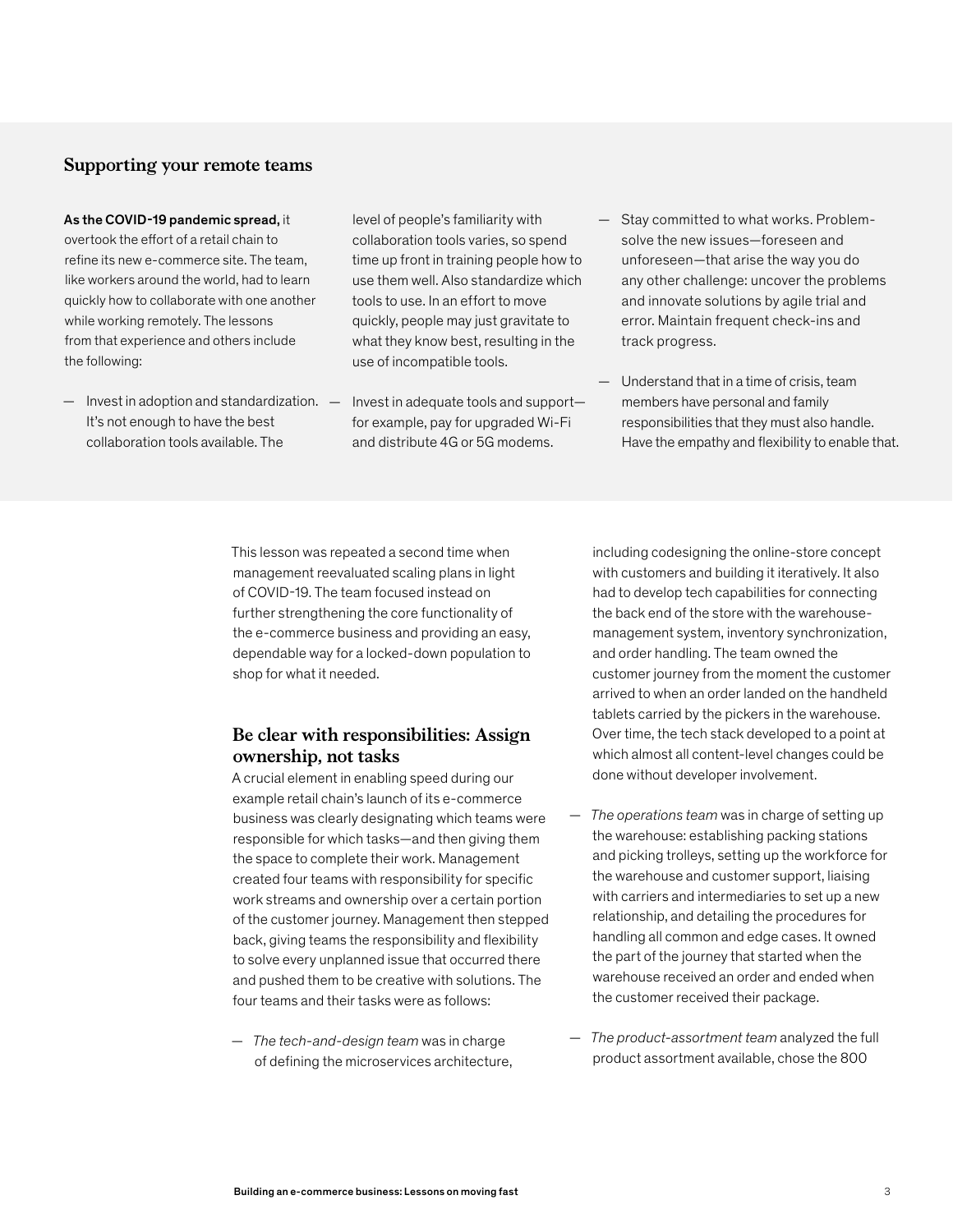#### **Supporting your remote teams**

#### As the COVID-19 pandemic spread, it

overtook the effort of a retail chain to refine its new e-commerce site. The team, like workers around the world, had to learn quickly how to collaborate with one another while working remotely. The lessons from that experience and others include the following:

It's not enough to have the best collaboration tools available. The level of people's familiarity with collaboration tools varies, so spend time up front in training people how to use them well. Also standardize which tools to use. In an effort to move quickly, people may just gravitate to what they know best, resulting in the use of incompatible tools.

- Invest in adoption and standardization. Invest in adequate tools and support for example, pay for upgraded Wi-Fi and distribute 4G or 5G modems.
- Stay committed to what works. Problemsolve the new issues—foreseen and unforeseen—that arise the way you do any other challenge: uncover the problems and innovate solutions by agile trial and error. Maintain frequent check-ins and track progress.
- Understand that in a time of crisis, team members have personal and family responsibilities that they must also handle. Have the empathy and flexibility to enable that.

This lesson was repeated a second time when management reevaluated scaling plans in light of COVID-19. The team focused instead on further strengthening the core functionality of the e-commerce business and providing an easy, dependable way for a locked-down population to shop for what it needed.

#### **Be clear with responsibilities: Assign ownership, not tasks**

A crucial element in enabling speed during our example retail chain's launch of its e-commerce business was clearly designating which teams were responsible for which tasks—and then giving them the space to complete their work. Management created four teams with responsibility for specific work streams and ownership over a certain portion of the customer journey. Management then stepped back, giving teams the responsibility and flexibility to solve every unplanned issue that occurred there and pushed them to be creative with solutions. The four teams and their tasks were as follows:

— *The tech-and-design team* was in charge of defining the microservices architecture, including codesigning the online-store concept with customers and building it iteratively. It also had to develop tech capabilities for connecting the back end of the store with the warehousemanagement system, inventory synchronization, and order handling. The team owned the customer journey from the moment the customer arrived to when an order landed on the handheld tablets carried by the pickers in the warehouse. Over time, the tech stack developed to a point at which almost all content-level changes could be done without developer involvement.

- *The operations team* was in charge of setting up the warehouse: establishing packing stations and picking trolleys, setting up the workforce for the warehouse and customer support, liaising with carriers and intermediaries to set up a new relationship, and detailing the procedures for handling all common and edge cases. It owned the part of the journey that started when the warehouse received an order and ended when the customer received their package.
- *The product-assortment team* analyzed the full product assortment available, chose the 800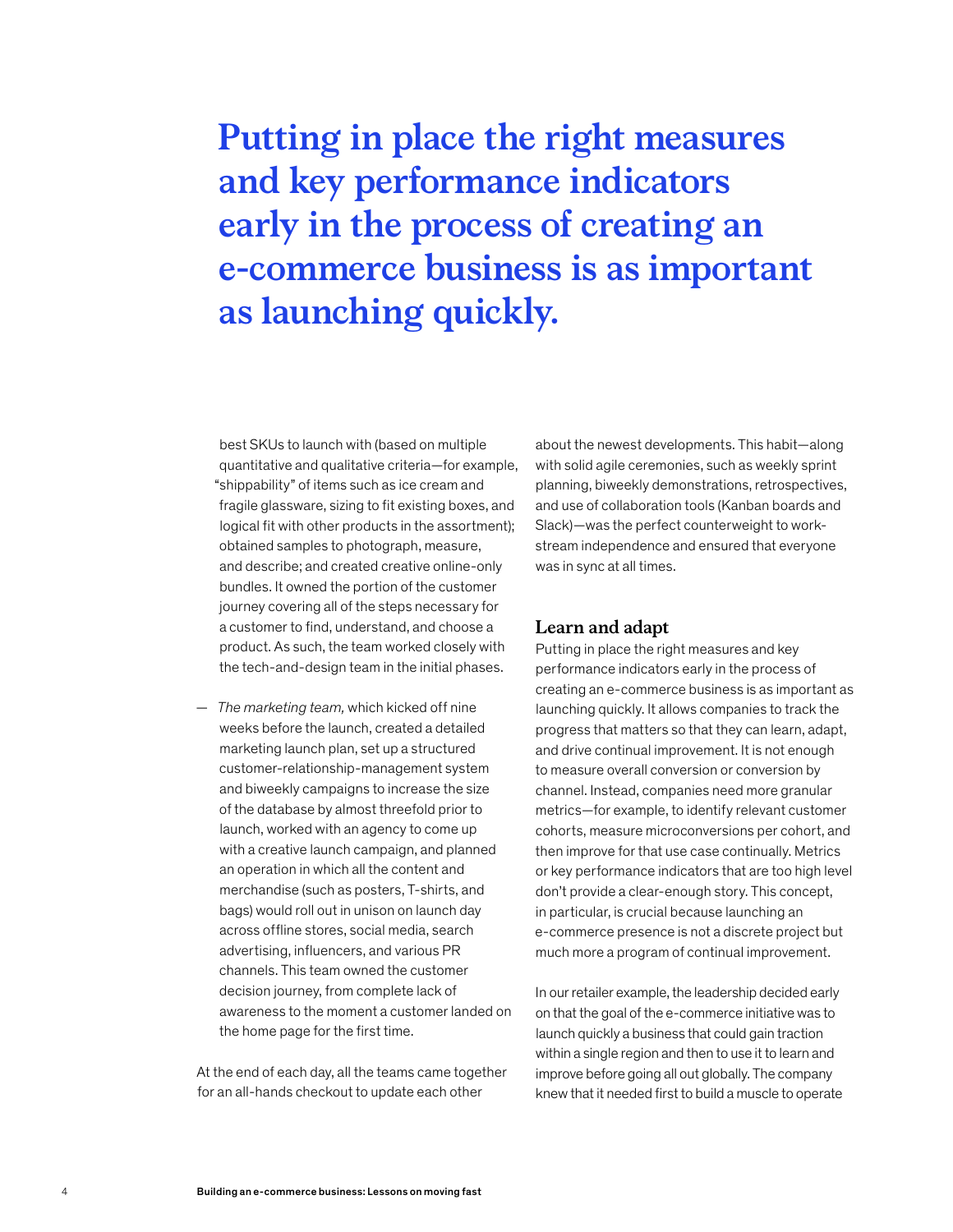### **Putting in place the right measures and key performance indicators early in the process of creating an e-commerce business is as important as launching quickly.**

best SKUs to launch with (based on multiple quantitative and qualitative criteria—for example, "shippability" of items such as ice cream and fragile glassware, sizing to fit existing boxes, and logical fit with other products in the assortment); obtained samples to photograph, measure, and describe; and created creative online-only bundles. It owned the portion of the customer journey covering all of the steps necessary for a customer to find, understand, and choose a product. As such, the team worked closely with the tech-and-design team in the initial phases.

— *The marketing team,* which kicked off nine weeks before the launch, created a detailed marketing launch plan, set up a structured customer-relationship-management system and biweekly campaigns to increase the size of the database by almost threefold prior to launch, worked with an agency to come up with a creative launch campaign, and planned an operation in which all the content and merchandise (such as posters, T-shirts, and bags) would roll out in unison on launch day across offline stores, social media, search advertising, influencers, and various PR channels. This team owned the customer decision journey, from complete lack of awareness to the moment a customer landed on the home page for the first time.

At the end of each day, all the teams came together for an all-hands checkout to update each other

about the newest developments. This habit—along with solid agile ceremonies, such as weekly sprint planning, biweekly demonstrations, retrospectives, and use of collaboration tools (Kanban boards and Slack)—was the perfect counterweight to workstream independence and ensured that everyone was in sync at all times.

#### **Learn and adapt**

Putting in place the right measures and key performance indicators early in the process of creating an e-commerce business is as important as launching quickly. It allows companies to track the progress that matters so that they can learn, adapt, and drive continual improvement. It is not enough to measure overall conversion or conversion by channel. Instead, companies need more granular metrics—for example, to identify relevant customer cohorts, measure microconversions per cohort, and then improve for that use case continually. Metrics or key performance indicators that are too high level don't provide a clear-enough story. This concept, in particular, is crucial because launching an e-commerce presence is not a discrete project but much more a program of continual improvement.

In our retailer example, the leadership decided early on that the goal of the e-commerce initiative was to launch quickly a business that could gain traction within a single region and then to use it to learn and improve before going all out globally. The company knew that it needed first to build a muscle to operate